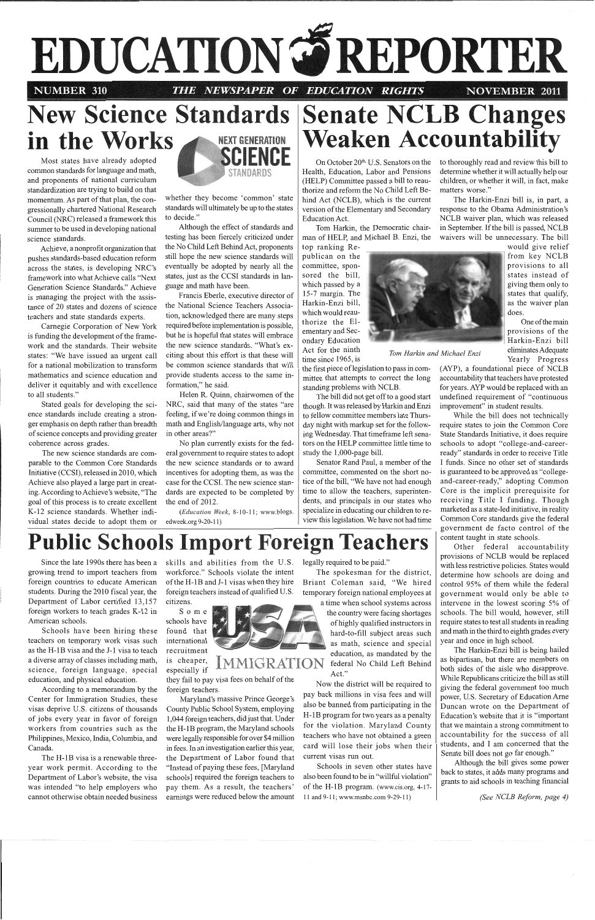

**NUMBER 310** 

TV FIT B NEWSPAPER OF EDUCATION RIGHTS **NOVEMBER 2011** 

## **in the Works A NEXT GENERATION New Science Standards** Most states have already adopted **IENCE**

common standards for language and math, and proponents of national curriculum standardization are trying to build on that momentum. As part of that plan, the congressionally chartered National Research Council (NRC) released a framework this summer to be used in developing national science standards.

Achieve, a nonprofit organization that pushes standards-based education reform across the states, is developing NRC 's framework into what Achieve calls "Next Generation Science Standards." Achieve is managing the project with the assistance of 20 states and dozens of science teachers and state standards experts.

Carnegie Corporation of New York is funding the development of the framework and the standards. Their website states: "We have issued an urgent call for a national mobilization to transform mathematics and science education and deliver it equitably and with excellence to all students."

Stated goals for developing the science standards include creating a stronger emphasis on depth rather than breadth of science concepts and providing greater coherence across grades.

The new science standards are comparable to the Common Core Standards Initiative (CCSI), released in 2010, which Achieve also played a large part in creating. According to Achieve 's website, "The goal of this process is to create excellent K-12 science standards. Whether individual states decide to adopt them or



On October 20<sup>th,</sup> U.S. Senators on the Health, Education, Labor and Pensions (HELP) Committee passed a bill to reauthorize and reform the No Child Left Behind Act (NCLB), which is the current version of the Elementary and Secondary Education Act.

whether they become 'common' state standards will ultimately be up to the states to decide."

Although the effect of standards and testing has been fiercely criticized under the No Child Left Behind Act, proponents still hope the new science standards will eventually be adopted by nearly all the states, just as the CCSI standards in language and math have been.

top ranking Republican on the committee, sponsored the bill, which passed by a 15-7 margin. The Harkin-Enzi bill, which would reauthorize the Elementary and Secondary Education Act for the ninth *Tom Harkin and Michael Enzi*  time since 1965, is Yearly Progress

Francis Eberle, executive director of the National Science Teachers Association, acknowledged there are many steps required before implementation is possible, but he is hopeful that states will embrace the new science standards. "What's exciting about this effort is that these will be common science standards that will provide students access to the same information," he said.

Helen R. Quinn, chairwomen of the NRC, said that many of the states "are feeling, if we're doing common things in math and English/language arts, why not in other areas?"

No plan currently exists for the federal government to require states to adopt the new science standards or to award incentives for adopting them, as was the case for the CCSI. The new science standards are expected to be completed by the end of 2012.

*(Education Week,* 8-10-11; www.blogs. edweek.org 9-20-11)

# nate NCLB Chang **ken Accountabi**

Tom Harkin, the Democratic chairman of HELP, and Michael B. Enzi, the to thoroughly read and review this bill to determine whether it will actually help our children, or whether it will, in fact, make matters worse."

The Harkin-Enzi bill is, in part, a response to the Obama Administration's NCLB waiver plan, which was released in September. If the bill is passed, NCLB waivers will be unnecessary. The bill

> would give relief from key NCLB provisions to a11 states instead of giving them only to states that qualify, as the waiver plan does.

> One of the main provisions of the Harkin-Enzi bill eliminates Adequate

the first piece oflegislation to pass in committee that attempts to correct the long standing problems with NCLB.

The bill did not get off to a good start though. It was released by Harkin and Enzi to fellow committee members late Thursday night with markup set for the following Wednesday. That timeframe left senators on the HELP committee little time to study the 1,000-page bill.

Senator Rand Paul, a member of the committee, commented on the short notice of the bill, "We have not had enough time to allow the teachers, superintendents, and principals in our states who specialize in educating our children to review this legislation. We have not had time (AYP), a foundational piece of NCLB accountability that teachers have protested for years. AYP would be replaced with an undefined requirement of "continuous improvement" in student results.

While the bill does not technically require states to join the Common Core State Standards Initiative, it does require schools to adopt "college-and-careerready" standards in order to receive Title I funds. Since no other set of standards is guaranteed to be approved as "collegeand-career-ready," adopting Common Core is the implicit prerequisite for receiving Title I funding. Though marketed as a state-led initiative, in reality Common Core standards give the federal government de facto control of the content taught in state schools.

Other federal accountability provisions of NCLB would be replaced with less restrictive policies. States would determine how schools are doing and control 95% of them while the federal government would only be able to intervene in the lowest scoring 5% of schools. The bill would, however, still require states to test all students in reading and math in the third to eighth grades every year and once in high school.

Since the late 1990s there has been a growing trend to import teachers from foreign countries to educate American students. During the 2010 fiscal year, the Department of Labor certified 13,157 foreign workers to teach grades K-12 in American schools.

Schools have been hiring these teachers on temporary work visas such as the H-1B visa and the J-1 visa to teach a diverse array of classes including math, science, foreign language, special education, and physical education. According to a memorandum by the Center for Immigration Studies, these visas deprive U.S. citizens of thousands of jobs every year in favor of foreign workers from countries such as the Philippines, Mexico, India, Columbia, and Canada. The H-IB visa is a renewable threeyear work permit. According to the Department of Labor's website, the visa was intended "to help employers who cannot otherwise obtain needed business

skills and abilities from the U.S. workforce." Schools violate the intent of the H-lB and J-1 visas when they hire foreign teachers instead of qualified U.S. citizens.

Some schools have found that international recruitment



 $\frac{1}{18}$  cheaper, MMIGRATI

they fail to pay visa fees on behalf of the foreign teachers.

Maryland's massive Prince George's County Public School System, employing 1,044 foreign teachers, did just that. Under the H-1B program, the Maryland schools were legally responsible for over \$4 million in fees. In an investigation earlier this year, the Department of Labor found that "Instead of paying these fees, [Maryland schools] required the foreign teachers to pay them. As a result, the teachers' earnings were reduced below the amount

legally required to be paid."

The spokesman for the district, Briant Coleman said, "We hired temporary foreign national employees at a time when school systems across

the country were facing shortages of highly qualified instructors in hard-to-fill subject areas such as math, science and special education, as mandated by the federal No Child Left Behind Act."



Now the district will be required to pay back millions in visa fees and will also be banned from participating in the H-1B program for two years as a penalty for the violation. Maryland County teachers who have not obtained a green card will lose their jobs when their current visas run out.

Schools in seven other states have also been found to be in "willful violation" of the H-1B program. (www.cis.org, 4-17- 11 and 9-11; www.msnbc.com 9-29-11)

The Harkin-Enzi bill is being hailed as bipartisan, but there are members on both sides of the aisle who disapprove. While Republicans criticize the bill as still giving the federal government too much power, U.S. Secretary of Education Ame Duncan wrote on the Department of Education's website that it is "important that we maintain a strong commitment to accountability for the success of all students, and I am concerned that the Senate bill does not go far enough." Although the bill gives some power back to states, it adds many programs and grants to aid schools in teaching financial

# **Public Schools Import Foreign Teachers**

*(See NCLB Reform, page 4)*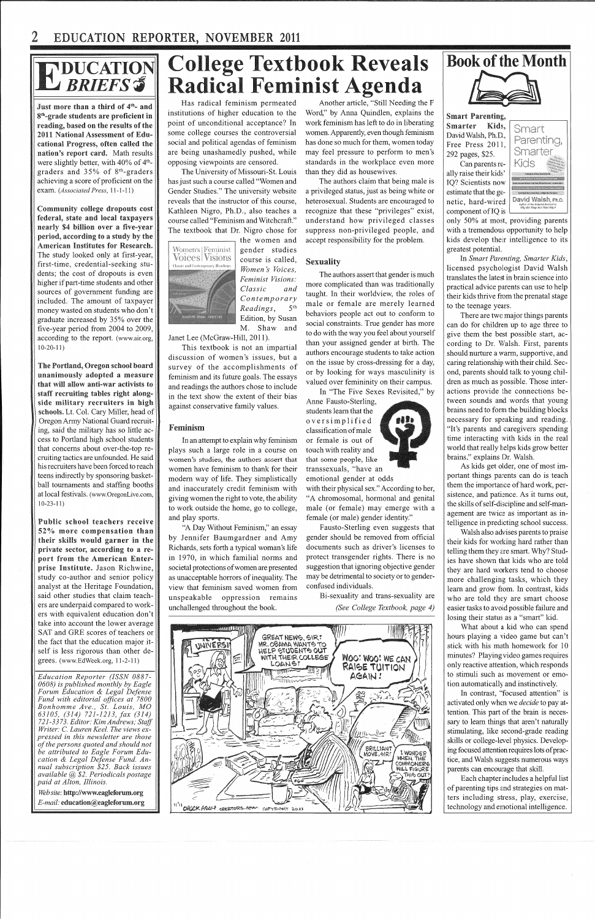

Just more than a third of 4<sup>th</sup>- and 8<sup>th</sup>-grade students are proficient in reading, based on the results of the 2011 National Assessment of Educational Progress, often called the nation's report card. Math results were slightly better, with  $40\%$  of  $4<sup>th</sup>$ graders and 35% of 8th -graders achieving a score of proficient on the exam. *(Associated Press,* 11-1-11)

**Community** college **dropouts** cost federal, state and local taxpayers **nearly** \$4 billion over a **five-year period, according** to a study by the American Institutes for Research. The study looked only at first-year, first-time, credential-seeking students; the cost of dropouts is even higher if part-time students and other sources of government funding are included. The amount of taxpayer money wasted on students who don't graduate increased by 35% over the five-year period from 2004 to 2009, according to the report. (www.air.org, 10-20-11)

The Portland, Oregon school board unanimously adopted a measure that will allow anti-war activists to staff recruiting tables right alongside military recruiters in schools. Lt. Col. Cary Miller, head of Oregon Anny National Guard recruiting, said the military has so little access to Portland high school students that concerns about over-the-top recruiting tactics are unfounded. He said his recruiters have been forced to reach teens indirectly by sponsoring basketball tournaments and staffing booths at local festivals. (www.OregonLive.com, 10-23-11)

*Tfeb site:* http://www.eagleforum.org *E-mail:* education@eagleforum.org

### **ollege Textboo Radical Feminist A**  eveais : naa

Public school teachers receive 52% more compensation than their skills would garner in the private sector, according to a report from the American Enterprise Institute. Jason Richwine, study co-author and senior policy analyst at the Heritage Foundation, said other studies that claim teachers are underpaid compared to workers with equivalent education don't take into account the lower average SAT and GRE scores of teachers or the fact that the education major itself is less rigorous than other degrees. (www.EdWeek.org, 11-2-11)

*Education Reporter (ISSN 0887- 0608) is published monthly by Eagle Forum Education & Legal Defense Fund with editorial offices at 7800 Bonhomme Ave., St. Louis, MO 63105, (314) 721-1213, fax (314) 721-3373. Editor: Kim Andrews,· Staff Writer:* C. *Lauren Keel. The views expressed in this newsletter are those of the persons quoted and should not be attributed to Eagle Forum Education & Legal Defense Fund. Annual subscription \$25. Back issues available* @ *\$2. Periodicals postage paid at Alton, Illinois.* 

Has radical feminism permeated institutions of higher education to the point of unconditional acceptance? In some college courses the controversial social and political agendas of feminism are being unashamedly pushed, while opposing viewpoints are censored.

> with their physical sex." According to her, "A chromosomal, hormonal and genital male (or female) may emerge with a female (or male) gender identity."

The University of Missouri-St. Louis has just such a course called "Women and Gender Studies." The university website reveals that the instructor of this course, Kathleen Nigro, Ph.D., also teaches a course called "Feminism and Witchcraft." The textbook that Dr. Nigro chose for **Smart Parenting,** Smarter Kids, David Walsh, Ph.D., Free Press 2011, 292 pages, \$25. Can parents re-

ally raise their kids' IQ? Scientists now , component of  $IQ$  is



the women and

gender studies course is called, *Women's Voices, Feminist Visions: Classic and Contemporary Readings,* 5th Edition, by Susan M. Shaw and

Janet Lee (McGraw-Hill, 2011).

This textbook is not an impartial discussion of women's issues, but a survey of the accomplishments of feminism and its future goals. The essays and readings the authors chose to include in the text show the extent of their bias against conservative family values.

### Feminism

In an attempt to explain why feminism plays such a large role in a course on women's studies, the authors assert that women have feminism to thank for their modem way of life. They simplistically and inaccurately credit feminism with giving women the right to vote, the ability to work outside the home, go to college, and play sports.

"A Day Without Feminism," an essay by Jennifer Baumgardner and Amy Richards, sets forth a typical woman's life in 1970, in which familial norms and societal protections of women are presented as unacceptable horrors of inequality. The view that feminism saved women from unspeakable oppression remains unchallenged throughout the book.

Another article, "Still Needing the F Word," by Anna Quindlen, explains the work feminism has left to do in liberating women. Apparently, even though feminism has done so much for them, women today may feel pressure to perform to men's standards in the workplace even more than they did as housewives.

The authors claim that being male is a privileged status, just as being white or heterosexual. Students are encouraged to recognize that these "privileges" exist, understand how privileged classes suppress non-privileged people, and accept responsibility for the problem.

#### Sexuality

The authors assert that gender is much more complicated than was traditionally taught. In their worldview, the roles of male or female are merely learned behaviors people act out to conform to social constraints. True gender has more to do with the way you feel about yourself than your assigned gender at birth. The authors encourage students to take action on the issue by cross-dressing for a day, or by looking for ways masculinity is valued over femininity on their campus.



In "The Five Sexes Revisited," by

Anne Fausto-Sterling, students learn that the oversimplified classification of male or female is out of touch with reality and that some people, like transsexuals, "have an emotional gender at odds

Fausto-Sterling even suggests that gender should be removed from official documents such as driver's licenses to protect transgender rights. There is no suggestion that ignoring objective gender may be detrimental to society or to genderconfused individuals.

> Bi-sexuality and trans-sexuality are *(See College Textbook, page 4)*





only 50% at most, providing parents with a tremendous opportunity to help kids develop their intelligence to its greatest potential.

In *Smart Parenting, Smarter Kids,*  licensed psychologist David Walsh translates the latest in brain science into practical advice parents can use to help their kids thrive from the prenatal stage to the teenage years.

There are two major things parents can do for children up to age three to give them the best possible start, according to Dr. Walsh. First, parents should nurture a warm, supportive, and caring relationship with their child. Second, parents should talk to young children as much as possible. Those interactions provide the connections between sounds and words that young brains need to form the building blocks necessary for speaking and reading. "It's parents and caregivers spending time interacting with kids in the real world that really helps kids grow better brains," explains Dr. Walsh.

As kids get older, one of most important things parents can do is teach them the importance of hard work, persistence, and patience. As it turns out, the skills of self-discipline and self-management are twice as important as intelligence in predicting school success.

Walsh also advises parents to praise their kids for working hard rather than telling them they are smart. Why? Studies have shown that kids who are told they are hard workers tend to choose more challenging tasks, which they learn and grow from. In contrast, kids who are told they are smart choose easier tasks to avoid possible failure and losing their status as a "smart" kid.

What about a kid who can spend hours playing a video game but can't stick with his math homework for 10 minutes? Playing video games requires only reactive attention, which responds to stimuli such as movement or emotion automatically and instinctively. In contrast, "focused attention" is activated only when we *decide* to pay attention. This part of the brain is necessary to learn things that aren't naturally stimulating, like second-grade reading skills or college-level physics. Developing focused attention requires lots of practice, and Walsh suggests numerous ways parents can encourage that skill. Each chapter includes a helpful list of parenting tips and strategies on matters including stress, play, exercise, technology and emotional intelligence.

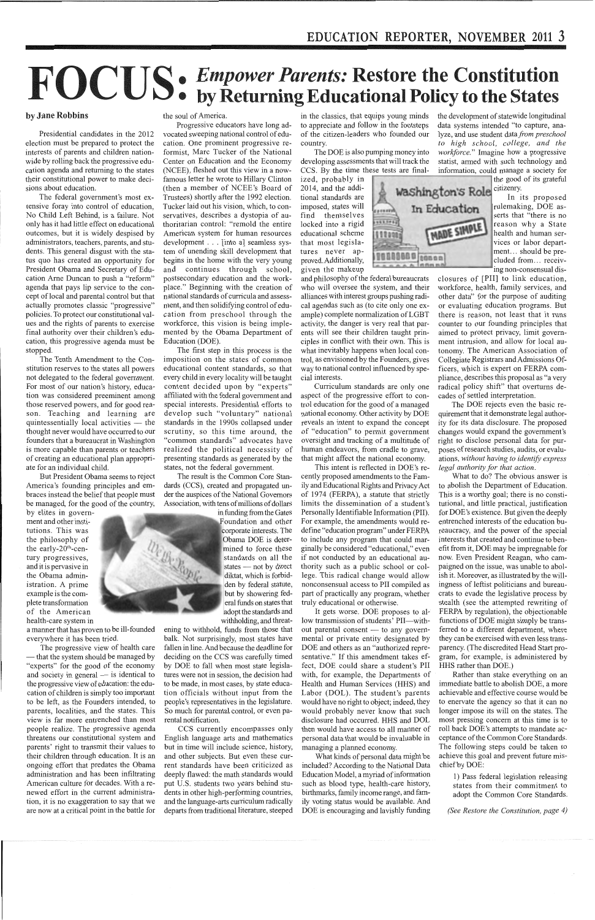### by Jane **Robbins**

Presidential candidates in the 2012 election must be prepared to protect the interests of parents and children nationwide by rolling back the progressive education agenda and returning to the states their constitutional power to make decisions about education.

The federal government's most extensive foray into control of education, No Child Left Behind, is a failure. Not only has it had little effect on educational outcomes, but it is widely despised by administrators, teachers, parents, and students. This general disgust with the status quo has created an opportunity for President Obama and Secretary of Education Arne Duncan to push a "reform" agenda that pays lip service to the concept of local and parental control but that actually promotes classic "progressive" policies. To protect our constitutional values and the rights of parents to exercise final authority over their children's education, this progressive agenda must be stopped.

The Tenth Amendment to the Constitution reserves to the states all powers not delegated to the federal government. For most of our nation's history, education was considered preeminent among those reserved powers, and for good reason. Teaching and learning are quintessentially local activities  $-$  the thought never would have occurred to our founders that a bureaucrat in Washington is more capable than parents or teachers of creating an educational plan appropriate for an individual child.

But President Obama seems to reject America's founding principles and embraces instead the belief that people must be managed, for the good of the country,

by elites in government and other institutions. This was the philosophy of the early- $20<sup>th</sup>$ -century progressives, and it is pervasive in the Obama administration. A prime example is the complete transformation of the American health-care system in

a manner that has proven to be ill-founded everywhere it has been tried.

The progressive view of health care that the system should be managed by "experts" for the good of the economy and society in general - is identical to the progressive view of education: the education of children is simply too important to be left, as the Founders intended, to parents, localities, and the states. This view is far more entrenched than most people realize. The progressive agenda threatens our constitutional system and parents' right to transmit their values to their children through education. It is an ongoing effort that predates the Obama administration and has been infiltrating American culture for decades. With a renewed effort in the current administration, it is no exaggeration to say that we are now at a critical point in the battle for

# *Empower Parents:* **Restore the Constitution**  • **by Returning Educational** Policy **to the States**

#### the soul of America.

Progressive educators have long advocated sweeping national control of education. One prominent progressive reformist, Marc Tucker of the National Center on Education and the Economy (NCEE), fleshed out this view in a nowfamous letter he wrote to Hillary Clinton (then a member of NCEE's Board of Trustees) shortly after the 1992 election. Tucker laid out his vision, which, to conservatives, describes a dystopia of authoritarian control: "remold the entire American system for human resources development . . . [into a] seamless system of unending skill development that begins in the home with the very young and continues through school, postsecondary education and the workplace." Beginning with the creation of national standards of curricula and assessment, and then solidifying control of education from preschool through the workforce, this vision is being implemented by the Obama Department of Education (DOE).

The first step in this process is the imposition on the states of common educational content standards, so that every child in every locality will be taught content decided upon by "experts" affiliated with the federal government and special interests. Presidential efforts to develop such "voluntary" national standards in the 1990s collapsed under scrutiny, so this time around, the "common standards" advocates have realized the political necessity of presenting standards as generated by the states, not the federal government.

The result is the Common Core Standards (CCS), created and propagated under the auspices of the National Governors Association, with tens of millions of dollars

> in funding from the Gates Foundation and other corporate interests. The Obama DOE is determined to force these standards on all the states - not by direct diktat, which is forbidden by federal statute, but by showering federal funds on states that adopt the standards and

withholding, and threatening to withhold, funds from those that balk. Not surprisingly, most states have fallen in line. And because the deadline for deciding on the CCS was carefully timed by DOE to fall when most state legislatures were not in session, the decision had to be made, in most cases, by state education officials without input from the people's representatives in the legislature. So much for parental control, or even parental notification. CCS currently encompasses only English language arts and mathematics but in time will include science, history, and other subjects. But even these current standards have been criticized as deeply flawed: the math standards would put U.S. students two years behind students in other high-performing countries, and the language-arts curriculum radically departs from traditional literature, steeped

in the classics, that equips young minds to appreciate and follow in the footsteps of the citizen-leaders who founded our country.

The DOE is also pumping money into developing assessments that will track the CCS. By the time these tests are final-

ized, probably in 2014, and the additional standards are imposed, states will find themselves locked into a rigid educational scheme that most legislatures never approved. Additionally, given the makeup

and philosophy of the federal bureaucrats who will oversee the system, and their alliances with interest groups pushing radical agendas such as (to cite only one example) complete normalization of LGBT activity, the danger is very real that parents will see their children taught principles in conflict with their own. This is what inevitably happens when local control, as envisioned by the Founders, gives way to national control influenced by special interests.

Curriculum standards are only one aspect of the progressive effort to control education for the good of a managed national economy. Other activity by DOE reveals an intent to expand the concept of "education" to permit government oversight and tracking of a multitude of human endeavors, from cradle to grave, that might affect the national economy.

This intent is reflected in DOE's recently proposed amendments to the Family and Educational Rights and Privacy Act of 1974 (FERPA), a statute that strictly limits the dissemination of a student's Personally Identifiable Information (PII). For example, the amendments would redefine "education program" under FERPA to include any program that could marginally be considered "educational," even if not conducted by an educational authority such as a public school or college. This radical change would allow nonconsensual access to PII compiled as part of practically any program, whether truly educational or otherwise.

It gets worse. DOE proposes to allow transmission of students' PII-without parental consent - to any governmental or private entity designated by DOE and others as an "authorized representative." If this amendment takes effect, DOE could share a student's PII with, for example, the Departments of Health and Human Services (HHS) and Labor (DOL). The student's parents would have no right to object; indeed, they would probably never know that such disclosure had occurred. HHS and DOL then would have access to all manner of personal data that would be invaluable in managing a planned economy. What kinds of personal data might be included? According to the National Data Education Model, a myriad of information such as blood type, health-care history, birthmarks, family income range, and family voting status would be available. And DOE is encouraging and lavishly funding

the development of statewide longitudinal data systems intended "to capture, analyze, and use student data *from preschool to high school, college, and the workforce."* Imagine how a progressive statist, armed with such technology and information, could manage a society for

the good of its grateful



In its proposed rulemaking, DOE asserts that "there is no reason why a State health and human services or labor department. .. should be precluded from... receiving non-consensual dis-

closures of [PII] to link education, workforce, health, family services, and other data" for the purpose of auditing or evaluating education programs. But there is reason, not least that it runs counter to our founding principles that aimed to protect privacy, limit government intrusion, and allow for local autonomy. The American Association of Collegiate Registrars andAdmissions Officers, which is expert on FERPA compliance, describes this proposal as "a very radical policy shift" that overturns decades of settled interpretation.

The DOE rejects even the basic requirement that it demonstrate legal authority for its data disclosure. The proposed changes would expand the government's right to disclose personal data for purposes ofresearch studies, audits, or evaluations, *without having to identify express legal authority for that action.* 

What to do? The obvious answer is to abolish the Department of Education. This is a worthy goal; there is no constitutional, and little practical, justification for DOE's existence. But given the deeply entrenched interests of the education bureaucracy, and the power of the special interests that created and continue to benefit from it, DOE may be impregnable for now. Even President Reagan, who campaigned on the issue, was unable to abolish it. Moreover, as illustrated by the willingness of leftist politicians and bureaucrats to evade the legislative process by stealth ( see the attempted rewriting of FERPA by regulation), the objectionable functions of DOE might simply be transferred to a different department, where they can be exercised with even less transparency. (The discredited Head Start program, for example, is administered by HHS rather than DOE.)

Rather than stake everything on an immediate battle to abolish DOE, a more achievable and effective course would be to enervate the agency so that it can no longer impose its will on the states. The most pressing concern at this time is to roll back DOE 's attempts to mandate acceptance of the Common Core Standards. The following steps could be taken to achieve this goal and prevent future mischief by DOE:





1) Pass federal legislation releasing states from their commitment to adopt the Common Core Standards.

*(See Restore the Constitution, page 4)*